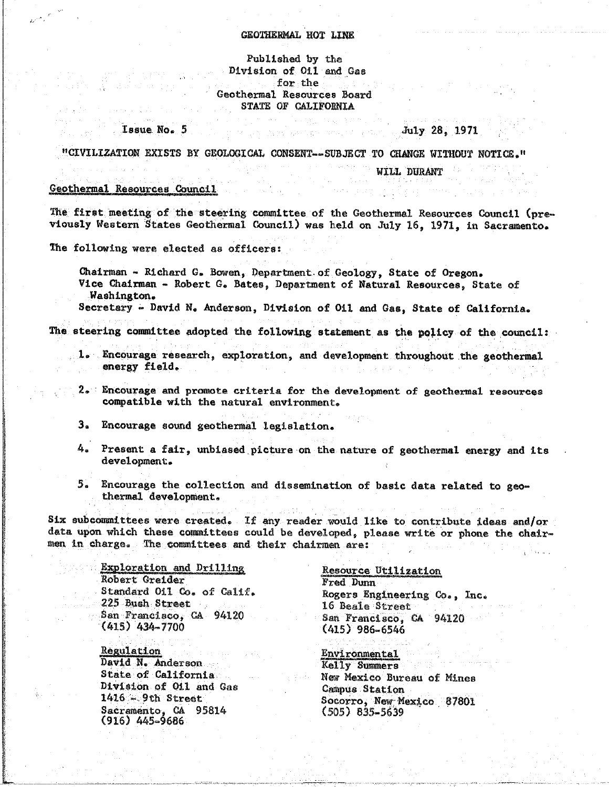## GEOTHERMAL HOT LINE

## Published by the Division of Oil and Gas for the Geothermal Resources Board STATE OF CALIFORNIA

# July 28, 1971

"CIVILIZATION EXISTS BY GEOLOGICAL CONSENT--SUBJECT TO CHANGE WITHOUT NOTICE."

WILL DURANT

#### Geothermal Resources Council

Issue No. 5

The first meeting of the steering committee of the Geothermal Resources Council (previously Western States Geothermal Council) was held on July 16, 1971, in Sacramento.

The following were elected as officers:

Chairman - Richard G. Bowen, Department of Geology, State of Oregon. Vice Chairman - Robert G. Bates, Department of Natural Resources, State of Washington.

Secretary - David N. Anderson, Division of Oil and Gas, State of California.

The steering committee adopted the following statement as the policy of the council:

- Encourage research, exploration, and development throughout the geothermal  $\mathbf{1}_{\mathbf{a}}$ energy field.
- 2. Encourage and promote criteria for the development of geothermal resources compatible with the natural environment.
- 3. Encourage sound geothermal legislation.
- 4. Present a fair, unbiased picture on the nature of geothermal energy and its development.
- 5. Encourage the collection and dissemination of basic data related to geothermal development.

Six subcommittees were created. If any reader would like to contribute ideas and/or data upon which these committees could be developed, please write or phone the chairmen in charge. The committees and their chairmen are:

> Exploration and Drilling Robert Greider Standard Oil Co. of Calif. 225 Bush Street San Francisco. CA 94120  $(415)$  434-7700

Regulation David N. Anderson State of California Division of Oil and Gas  $1416 - 9th$  Street Sacramento, CA 95814  $(916)$  445-9686

#### Resource Utilization

Fred Dunn Rogers Engineering Co., Inc. 16 Beale Street San Francisco, CA 94120  $(415)$  986-6546

**Environmental** Kelly Summers New Mexico Bureau of Mines Campus Station Socorro, New Mexico 87801  $(505)$  835-5639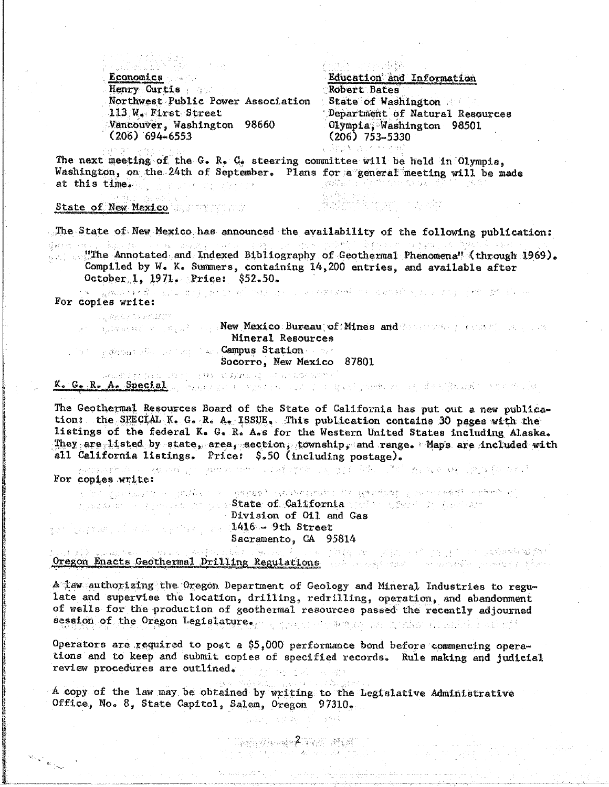Economics and Henry Curtis Northwest Public Power Association 113 W. First Street Vancouver, Washington 98660  $(206)$  694-6553

Education and Information Robert Bates State of Washington Department of Natural Resources Olympia, Washington 98501  $(206)$  753-5330

The next meeting of the G. R. C. steering committee will be held in Olympia. Washington, on the 24th of September. Plans for a general meeting will be made at this time. The same of the same i voltali si ili 11 计内部分类的复数

State of New Mexico

The State of New Mexico has announced the availability of the following publication: ,这里,每一只红银色了。 化双乙基 人名西格兰人名 化三环化 医上颌骨骨髓骨 "我要做到,这个人都是这样的,还是想要做到这个老板的 收获的 10 "The Annotated and Indexed Bibliography of Geothermal Phenomena" (through 1969). ひにた なの Compiled by W. K. Summers, containing 14,200 entries, and available after October 1, 1971. Price: \$52.50.

用 化复数动物键 不整体 医乳突肌 地名美国英国克莱 编号 网络美国马斯兰岛 医耳蜗突发 机硬料 的第三人称形式英国英国美国美国英国美国美国美国美国美国美国美国 For copies write:

ully was a first search back of the

measure of the sign being a New Mexico Bureau of Mines and Consequence provide the same control. Mineral Resources be generally computed Campus Station and Socorro, New Mexico 87801

(1977年) 计转换 机多级机构 第二次的复数分布的现代 K. G. R. A. Special a based of the complete and property of the second development of the control

The Geothermal Resources Board of the State of California has put out a new publication: the SPECIAL K. G. R. A. ISSUE, This publication contains 30 pages with the listings of the federal K. G. R. A.s for the Western United States including Alaska. They are listed by state, area, section, township, and range. Maps are included with all California listings. Price: \$.50 (including postage).

机酸铁合金 计可行 医魏氏细胞的 化原始性的 化四十二烷基的变形剂 计定位变变 高端的 医阿尔伯氏综合征 经船舶保险 医单位 For copies write:

in geologia (media e l'abigent le l'abiada), tanggantan i gal Macapado Portual angga lebatan rin n da ayan san guna dan ya sa**ktate of Galifornia** di Sir a *San*i da Awalaya Division of O11 and Gas gan gegmas of a konseguracional 1416 - 9th Street Sacramento, CA 95814 and a complete the complete state of the complete state of the film of the complete state of the complete state of the complete state of the complete state of the complete state of the complete state of the complete state

ال کاربر لاکار کار اور پارٹی پرویز کے بار<br>مناسب کاربر اور ایک پارٹی کاربر کاربر کاربر کاربر کاربر کاربر کاربر کاربر کاربر کاربر کاربر کاربر کاربر کاربر Oregon Enacts Geothermal Drilling Regulations and the second contract of the second state

 $A$  law authorizing the Oregon Department of Geology and Mineral Industries to regulate and supervise the location, drilling, redrilling, operation, and abandonment of wells for the production of geothermal resources passed the recently adjourned session of the Oregon Legislature. ( 0.7%): Printer ( ) and ( ) Also ( ) with 1 all of (

Operators are required to post a \$5,000 performance bond before commencing operations and to keep and submit copies of specified records. Rule making and judicial review procedures are outlined.

A copy of the law may be obtained by writing to the Legislative Administrative Office, No. 8, State Capitol, Salem, Oregon 97310.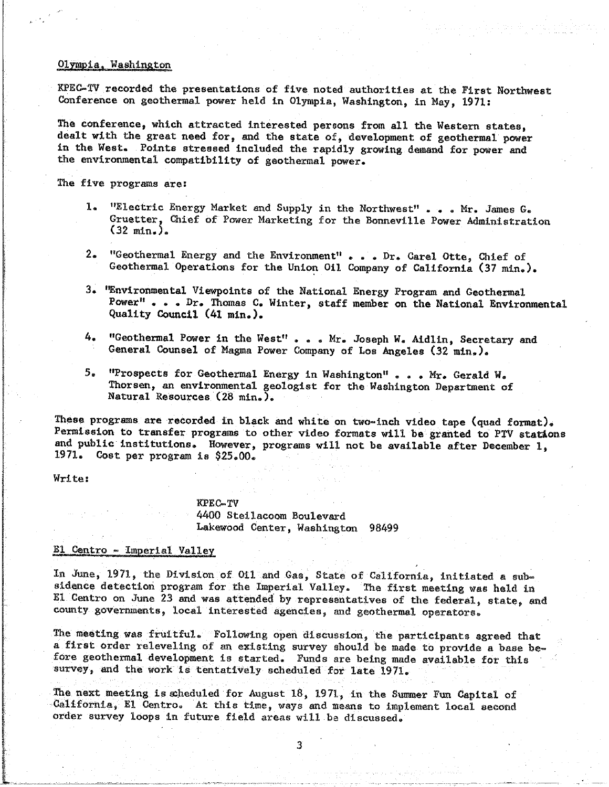## Olympia, Washington

KP**EC**-\_ recorded the prese**n**tati**o**ns o**f** five noted a**u**th**o**ri**t**ies at the **F**ir**st** N**o**r**t**hw**es**t **C**onference on geo**t**hermal **p**ower he**ld** in O**l**y**m**pia, Washington, i**n** May, 197**1**:

The conference, which attracted interested persons from all the Western states, dealt with the great need for, and the state of, development of geothermal power in the West. Points stressed included the rapidly growing demand for power and in the We**st**. Poin**t**s **st**res**s**ed incl**ud**ed the rapi**dl**y growin**g** dew,a**n**d for **p**ower and the environme**n**tal com**p**ati**b**ility of geothermal **p**ower.

The five p**r**o**g**ra**m**s are:

- l. **i**. "E**l**ectric Ener**g**y Ma**r**ke**t** and Supply in the Northwe**s**t" . . . M**r**. James G. Gruetter, **C**hief of Power Marketi**n**g for the Bon**n**evi**l**le Powe**r** A**d**ministratio**n** (**32** m**i**ne)**.**
- $2 -$ **2.** Geothermal Operations for the Union Oil Company of California (27 min) Geo**t**herma**l** Operations f**o**r the Union O**i**l **C**om**p**any of **C**a**l**ifornia (**3**7 m**i**n.).
- 3. '\_nvir**on**mental Vie**wp**oints of the Nati**o**na**l** Energy Pr**o**gram and Ge**o**the**r**mal **P**o**w**e**r**" . . . Dr. **T**h**om**as **C**o Wi**n**te**r**, s**ta**ff me**m**ber o**n t**he **Na**tion**al Env**ir**on**me**n**tal **Qu**a**lity C**o**un**c**il** (4**1** ml**n**.).
- 4. "**G**eothermal Pow**er** in the W**e**st" . . **.** Mr. Joseph W® Aidlln, **S**ec**r**e**ta**ry **an**d Ge**n**e**r**a**l C**o**u**nsel **o**f M**ag**ma Power **C**om**p**any **o**f Lo**s** Angeles (3**2** mi**n**.)\_
- **The "Prospects for Geothermal Energy in Washington" . . . Mr. Gerald W.** Thorsen, an environmental geologist for the Washington Department of  $5.5$ Tho**r**sen, an en**vi**ronmenta**l g**eo**lo**gist for the Wa**s**hington Department of **N**at**u**ra**l** Resources (**2**8 m**i**n**.**)**.**

These programs are recorded in black and white on two-inch video tape (quad format). Permission to transfer programs to other video formats will be granted to PTV stations and public institutions. However, programs will not be available after December 1, an**d** p**u**bl**i**c in**s**titution**s**. **H**owe**v**e**r**, **pr**ograms w**il**l not be av**a**ilab**l**e after Dece**m**ber **I**, **1**97**1**. **Co**st **p**er **p**r**o**gram is **\$25**.**0**0®

Write:

KPE**C**-**TV** 44**0**0 Steila**c**oom Boulev**a**rd **L**akewo**o**d Center, Washingt**o**n 9849**9**

# **E1** Centro - Imperial Valley

In June, 1971, the Division of Oil and Gas, State of California, initiated a sub-<br>sidence detection program for the Imperial Valley. The first meeting was held in El Centro on June 23 and was attended by representatives of the federal, state, and **COUNTY ROVETHMENTS, local interested agencies, and conthermal operators**  $\frac{1}{2}$ co\_Ity **go**vernme**n**ts\_ local interested age**n**cles\_ and **g**eo**t**her**m**al operators\_

The mee**t**ing was frui**t**ful. Fo**llo**win**g** ope**n d**iscussion, **t**he pa**r**tici**p**ants agreed that fore geothermal development is started. Funds are being made available for this fore geo**t**hermal deve**l**o**p**ment is started. F**u**nds are bein**g** ma**d**e availab**l**e for this survey, an**d** the work is tentat**i**ve**l**y schedu**l**e**d** for **l**ate 1971.

The next meeting is scheduled for August 18, 1971, in the Summer Fun Capital of California, El Centro. At this time, ways and means to implement local second **C**alifformations in future field speak will be discussed. **o**r**d**er survey loops in fut**ur**e fie**ld** areas wil**l** be d\_scussed.

3